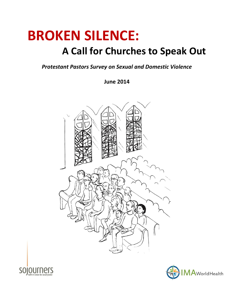# **BROKEN SILENCE:**

# **A Call for Churches to Speak Out**

*Protestant Pastors Survey on Sexual and Domestic Violence*

**June 2014**





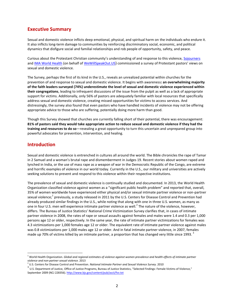### **Executive Summary**

Sexual and domestic violence inflicts deep emotional, physical, and spiritual harm on the individuals who endure it. It also inflicts long-term damage to communities by reinforcing discriminatory social, economic, and political dynamics that disfigure social and familial relationships and rob people of opportunity, safety, and peace.

Curious about the Protestant Christian community's understanding of and response to this violence, [Sojourners](http://www.sojo.net/) an[d IMA World Health](http://www.imaworldhealth.org/) (on behalf o[f WeWillSpeakOut.US](http://www.wewillspeakout.us/)) commissioned a survey of Protestant pastors' views on sexual and domestic violence.

The Survey, perhaps the first of its kind in the U.S., reveals an unrealized potential within churches for the prevention of and response to sexual and domestic violence. It begins with awareness**: an overwhelming majority of the faith leaders surveyed (74%) underestimate the level of sexual and domestic violence experienced within their congregations**, leading to infrequent discussions of the issue from the pulpit as well as a lack of appropriate support for victims. Additionally, only 56% of pastors are adequately familiar with local resources that specifically address sexual and domestic violence, creating missed opportunities for victims to access services. And distressingly, the survey also found that even pastors who have handled incidents of violence may not be offering appropriate advice to those who are suffering, potentially doing more harm than good.

Though this Survey showed that churches are currently falling short of their potential, there was encouragement: **81% of pastors said they would take appropriate action to reduce sexual and domestic violence if they had the training and resources to do so**—revealing a great opportunity to turn this uncertain and unprepared group into powerful advocates for prevention, intervention, and healing.

### **Introduction**

 $\overline{\phantom{a}}$ 

Sexual and domestic violence is entrenched in cultures all around the world. The Bible chronicles the rape of Tamar in 2 Samuel and a woman's brutal rape and dismemberment in Judges 19. Recent stories about women raped and lynched in India, or the use of mass rape as a weapon of war in the Democratic Republic of the Congo, are extreme and horrific examples of violence in our world today. Currently in the U.S., our military and universities are actively seeking solutions to prevent and respond to this violence within their respective institutions.

The prevalence of sexual and domestic violence is continually studied and documented. In 2013, the World Health Organization classified violence against women as a "significant public health problem" and reported that, overall, 35% of women worldwide have experienced either physical and/or sexual intimate partner violence or non-partner sexual violence;<sup>1</sup> previously, a study released in 2011 by the U.S. Centers for Disease Control and Prevention had already produced similar findings in the U.S., while noting that along with one in three U.S. women, as many as one in four U.S. men will experience intimate partner violence as well.<sup>2</sup> The nature of the violence, however, differs. The Bureau of Justice Statistics' National Crime Victimization Survey clarifies that, in cases of intimate partner violence in 2008, the rates of rape or sexual assaults against females and males were 1.4 and 0.3 per 1,000 persons age 12 or older, respectively. In the same year, the rate of intimate partner victimizations for females was 4.3 victimizations per 1,000 females age 12 or older. The equivalent rate of intimate partner violence against males was 0.8 victimizations per 1,000 males age 12 or older. And in fatal intimate partner violence, in 2007, females made up 70% of victims killed by an intimate partner, a proportion that has changed very little since 1993.  $3$ 

<sup>1</sup> World Health Organization. *Global and regional estimates of violence against women prevalence and health effects of intimate partner violence and non-partner sexual violence.* 2013

<sup>2</sup> U.S. Centers for Disease Control and Prevention. *National Intimate Partner and Sexual Violence Survey.* 2010

 $^3$  U.S. Department of Justice, Office of Justice Programs, Bureau of Justice Statistics, "Selected Findings: Female Victims of Violence," September 2009 (NCJ 228356)[. http://www.bjs.gov/content/pub/ascii/fvv.txt](http://www.bjs.gov/content/pub/ascii/fvv.txt)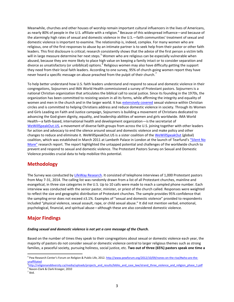Meanwhile, churches and other houses of worship remain important cultural influencers in the lives of Americans, as nearly 80% of people in the U.S. affiliate with a religion.<sup>4</sup> Because of this widespread influence—and because of the alarmingly high rates of sexual and domestic violence in the U.S.—faith communities' treatment of sexual and domestic violence is important to examine. The relationship is, indeed, complex. For many women who are religious, one of the first responses to abuse by an intimate partner is to seek help from their pastor or other faith leaders. This first disclosure is critical; research consistently shows that the advice of the first person a victim tells will in large measure determine her next steps.<sup>5</sup> Women who are religious can be especially vulnerable when abused, because they are more likely to place high value on keeping a family intact or to consider separation and divorce as unsatisfactory (or unbiblical) options.<sup>6</sup> Religious women may also have difficulty getting the support they need from their local faith leaders. According to one survey, 95% of church-going women report they have never heard a specific message on abuse preached from the pulpit of their church.

To help better understand how U.S. faith leaders understand and respond to sexual and domestic violence in their congregations, Sojourners and IMA World Health commissioned a survey of Protestant pastors. Sojourners is a national Christian organization that articulates the biblical call to social justice. Since its founding in the 1970s, the organization has been committed to resisting sexism in all its forms, while affirming the integrity and equality of women and men in the church and in the larger world. It has [extensively covered](http://sojo.net/blogs/series/sexual-violence-and-the-church) sexual violence within Christian circles and is committed to helping Christians address and reduce domestic violence in society. Through its Women and Girls Leading on Faith and Justice campaign, Sojourners is building a movement of Christians dedicated to advancing the God-given dignity, equality, and leadership abilities of women and girls worldwide. IMA World Health—a faith-based, international health and development organization—is the secretariat of [WeWillSpeakOut.US,](http://www.wewillspeakout.us/) a movement of diverse faith groups from across the U.S. joining together with other leaders for action and advocacy to end the silence around sexual and domestic violence and make policy and other changes to reduce and eliminate it. WeWillSpeakOut.US is a sister coalition of th[e WeWillSpeakOut](http://www.wewillspeakout.org/) (global) coalition, which was established in March 2011 at Lambeth Palace in London at the launch of Tearfund's ["Silent No](http://www.wewillspeakout.org/wp-content/uploads/2011/10/SnM-Lambeth-Launch-Report-20111.pdf)  [More"](http://www.wewillspeakout.org/wp-content/uploads/2011/10/SnM-Lambeth-Launch-Report-20111.pdf) research report. The report highlighted the untapped potential and challenges of the worldwide church to prevent and respond to sexual and domestic violence. The Protestant Pastors Survey on Sexual and Domestic Violence provides crucial data to help mobilize this potential.

## **Methodology**

The Survey was conducted b[y LifeWay Research.](http://www.lifeway.com/n/Product-Family/LifeWay-Research) It consisted of telephone interviews of 1,000 Protestant pastors from May 7-31, 2014. The calling list was randomly drawn from a list of all Protestant churches, mainline and evangelical, in three size categories in the U.S. Up to 10 calls were made to reach a sampled phone number. Each interview was conducted with the senior pastor, minister, or priest of the church called. Responses were weighted to reflect the size and geographic distribution of Protestant churches. The sample provides 95% confidence that the sampling error does not exceed ±3.1%. Examples of "sexual and domestic violence" provided to respondents included "physical violence, sexual assault, rape, or child sexual abuse." It did not mention verbal, emotional, psychological, financial, and spiritual abuse—although these are also considered domestic violence.

# **Major Findings**

#### *Ending sexual and domestic violence is not yet a core message of the Church.*

Based on the number of times they speak to their congregations about sexual or domestic violence each year, the majority of pastors do not consider sexual or domestic violence central to larger religious themes such as strong families, a peaceful society, pursuing holiness, social justice, etc. **Two out of three (65%) pastors speak one time a** 

 $<sup>7</sup>$  Ibid.</sup>

 $\overline{a}$ 

<sup>&</sup>lt;sup>4</sup> Pew Research Center's Forum on Religion & Public Life, 2012. [http://www.pewforum.org/2012/10/09/nones-on-the-rise/#who-are-the](http://www.pewforum.org/2012/10/09/nones-on-the-rise/#who-are-the-unaffiliated)[unaffiliated](http://www.pewforum.org/2012/10/09/nones-on-the-rise/#who-are-the-unaffiliated)

<sup>&</sup>lt;sup>5</sup>[http://religionanddiversity.ca/media/uploads/projects\\_and\\_results/biblio\\_and\\_case\\_law/strand\\_three\\_violence\\_and\\_religion\\_phase\\_1.pdf](http://religionanddiversity.ca/media/uploads/projects_and_results/biblio_and_case_law/strand_three_violence_and_religion_phase_1.pdf) 6 Nason-Clark & Clark Kroeger, 2010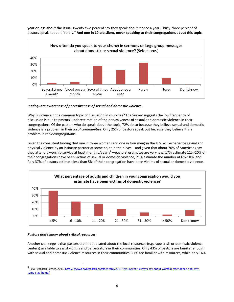

**year or less about the issue.** Twenty-two percent say they speak about it once a year. Thirty-three percent of pastors speak about it "rarely." **And one in 10 are silent, never speaking to their congregations about this topic.**

#### *Inadequate awareness of pervasiveness of sexual and domestic violence.*

Why is violence not a common topic of discussion in churches? The Survey suggests the low frequency of discussion is due to pastors' underestimation of the pervasiveness of sexual and domestic violence in their congregations. Of the pastors who do speak about the topic, 72% do so because they believe sexual and domestic violence is a problem in their *local communities*. Only 25% of pastors speak out because they believe it is a problem *in their congregations.*

Given the consistent finding that one in three women (and one in four men) in the U.S. will experience sexual and physical violence by an intimate partner at some point in their lives—and given that about 70% of Americans say they attend a worship service at least monthly/yearly<sup>8</sup>—pastors' estimates are very low: 17% estimate 11%-20% of their congregations have been victims of sexual or domestic violence, 21% estimate the number at 6%-10%, and fully 37% of pastors estimate less than 5% of their congregation have been victims of sexual or domestic violence.



#### *Pastors don't know about critical resources.*

 $\overline{\phantom{a}}$ 

Another challenge is that pastors are not educated about the local resources (e.g. rape crisis or domestic violence centers) available to assist victims and perpetrators in their communities. Only 43% of pastors are familiar enough with sexual and domestic violence resources in their communities: 27% are familiar with resources, while only 16%

<sup>&</sup>lt;sup>8</sup> Pew Research Center, 2013. <u>http://www.pewresearch.org/fact-tank/2013/09/13/what-surveys-say-about-worship-attendance-and-why-</u> [some-stay-home/](http://www.pewresearch.org/fact-tank/2013/09/13/what-surveys-say-about-worship-attendance-and-why-some-stay-home/)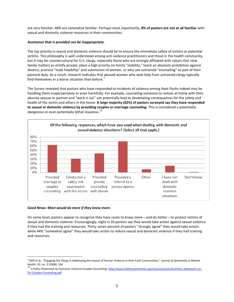are very familiar; 48% are somewhat familiar. Perhaps most importantly, **8% of pastors are not at all familiar** with sexual and domestic violence resources in their communities.

#### *Assistance that is provided can be inappropriate.*

The top priority in sexual and domestic violence should be to ensure the immediate safety of victims or potential victims. This philosophy is well understood among anti-violence practitioners and those in the health community, but it may be countercultural for U.S. clergy, especially those who are strongly affiliated with values that view family matters as strictly private, place a high priority on family "stability," teach an absolute prohibition against divorce, practice "male headship" and submission of women, or who see untrained "counseling" as part of their pastoral duty. As a result, research indicates that abused women who seek help from untrained clergy typically find themselves in a worse situation than before.<sup>9</sup>

The Survey revealed that pastors who have responded to incidents of violence among their flocks indeed may be handling them inappropriately or even harmfully. For example, counseling someone to remain at home with their abusive spouse or partner and "work it out" can potentially lead to devastating consequences for the safety and health of the victim and others in the home. **A large majority (62%) of pastors surveyed say they have responded to sexual or domestic violence by providing couples or marriage counseling.** This is considered a potentially dangerous or even potentially lethal response.<sup>10</sup>



#### *Good News: Most would do more if they knew more.*

 $\overline{\phantom{a}}$ 

On some level, pastors appear to recognize they have room to know more—and do better—to protect victims of sexual and domestic violence. Encouragingly, eight in 10 pastors say they would take action against sexual violence if they had the training and resources. Thirty-seven percent of pastors "strongly agree" they would take action, while 44% "somewhat agree" they would take action to reduce sexual and domestic violence if they had training and resources.

<sup>&</sup>lt;sup>9</sup> Skiff et al., "Engaging the Clergy in Addressing the Impact of Partner Violence in their Faith Communities," Journal of Spirituality In Mental *Health*, 10, no. 2 [2008]: 104

<sup>&</sup>lt;sup>10</sup> A Policy Statement on Domestic Violence Couples Counseling[: http://www.faithtrustinstitute.org/resources/articles/Policy-Statement-on-](http://www.faithtrustinstitute.org/resources/articles/Policy-Statement-on-DV-Couples-Counseling.pdf)[DV-Couples-Counseling.pdf](http://www.faithtrustinstitute.org/resources/articles/Policy-Statement-on-DV-Couples-Counseling.pdf)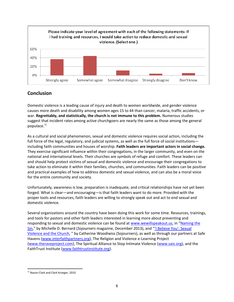

# **Conclusion**

Domestic violence is a leading cause of injury and death to women worldwide, and gender violence causes more death and disability among women ages 15 to 44 than cancer, malaria, traffic accidents, or war. **Regrettably, and statistically, the church is not immune to this problem.** Numerous studies suggest that incident rates among active churchgoers are nearly the same as those among the general populace.<sup>11</sup>

As a cultural and social phenomenon, sexual and domestic violence requires social action, including the full force of the legal, regulatory, and judicial systems, as well as the full force of social institutions including faith communities and houses of worship. **Faith leaders are important actors in social change.** They exercise significant influence within their congregations, in the larger community, and even on the national and international levels. Their churches are symbols of refuge and comfort. These leaders can and should help protect victims of sexual and domestic violence and encourage their congregations to take action to eliminate it within their families, churches, and communities. Faith leaders can be positive and practical examples of how to address domestic and sexual violence, and can also be a moral voice for the entire community and society.

Unfortunately, awareness is low, preparation is inadequate, and critical relationships have not yet been forged. What is clear—and encouraging—is that faith leaders want to do more. Provided with the proper tools and resources, faith leaders are willing to strongly speak out and act to end sexual and domestic violence.

Several organizations around the country have been doing this work for some time. Resources, trainings, and tools for pastors and other faith leaders interested in learning more about preventing and responding to sexual and domestic violence can be found at [www.wewillspeakout.us](http://www.wewillspeakout.us/), in "[Naming the](http://sojo.net/magazine/2013/12/naming-sin)  [Sin](http://sojo.net/magazine/2013/12/naming-sin)," by Michelle D. Bernard (*Sojourners* magazine, December 2013), and ["'I Believe You': Sexual](http://sojo.net/store/product/i-believe-you-sexual-violence-and-church-ebook)  [Violence and the Church](http://sojo.net/store/product/i-believe-you-sexual-violence-and-church-ebook), " by Catherine Woodiwiss (Sojourners), as well as through our partners at Safe Havens [\(www.interfaithpartners.org\)](http://www.interfaithpartners.org/), The Religion and Violence e-Learning Project [\(www.theraveproject.com\)](http://www.theraveproject.com/), The Spiritual Alliance to Stop Intimate Violence [\(www.saiv.org\)](http://www.saiv.org/), and the FaithTrust Institute [\(www.faithtrustinstitute.org\)](http://www.faithtrustinstitute.org/).

l <sup>11</sup> Nason-Clark and Clark Kroeger, 2010